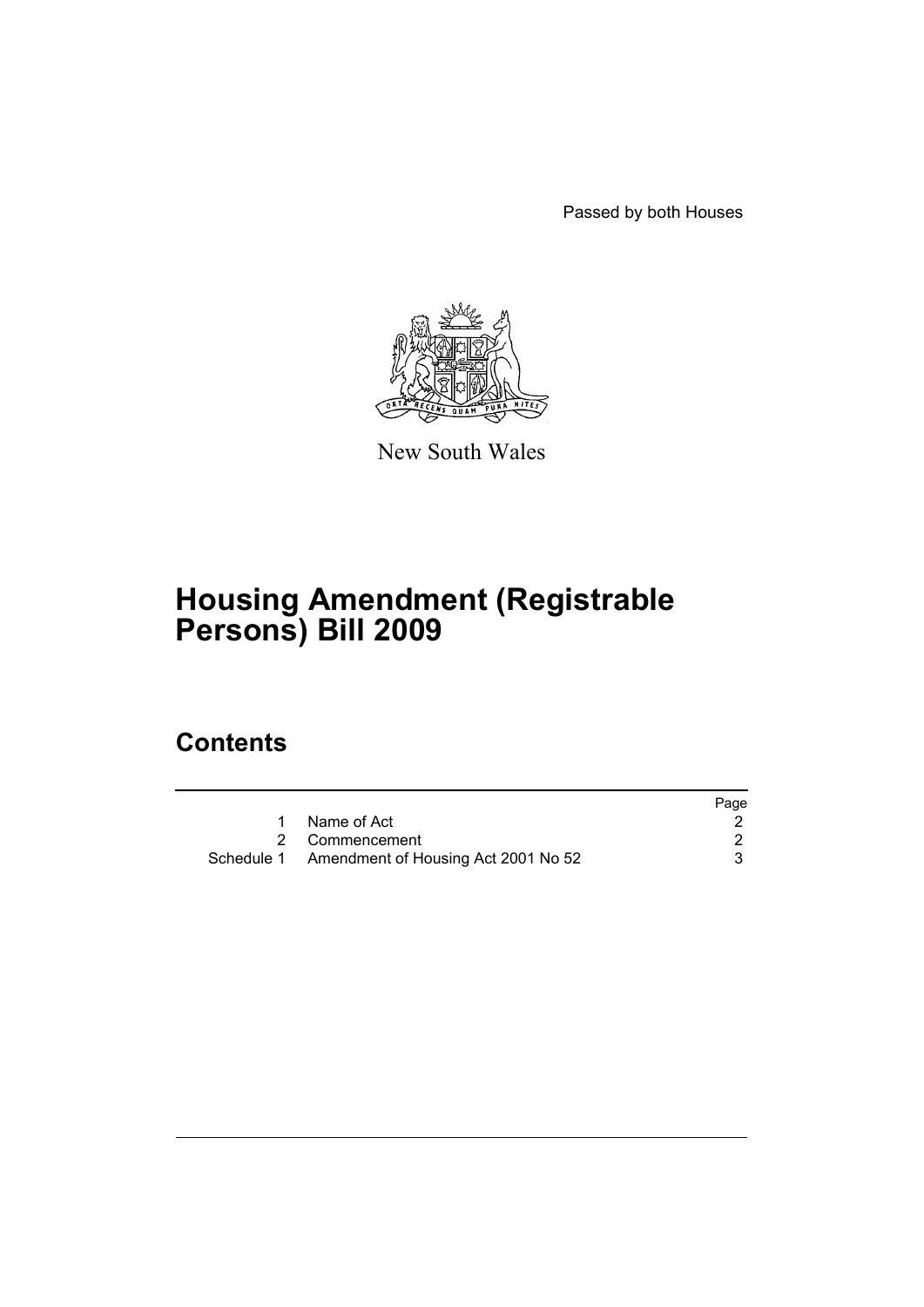Passed by both Houses



New South Wales

# **Housing Amendment (Registrable Persons) Bill 2009**

## **Contents**

|                                                | Page |
|------------------------------------------------|------|
| 1 Name of Act                                  |      |
| 2 Commencement                                 |      |
| Schedule 1 Amendment of Housing Act 2001 No 52 |      |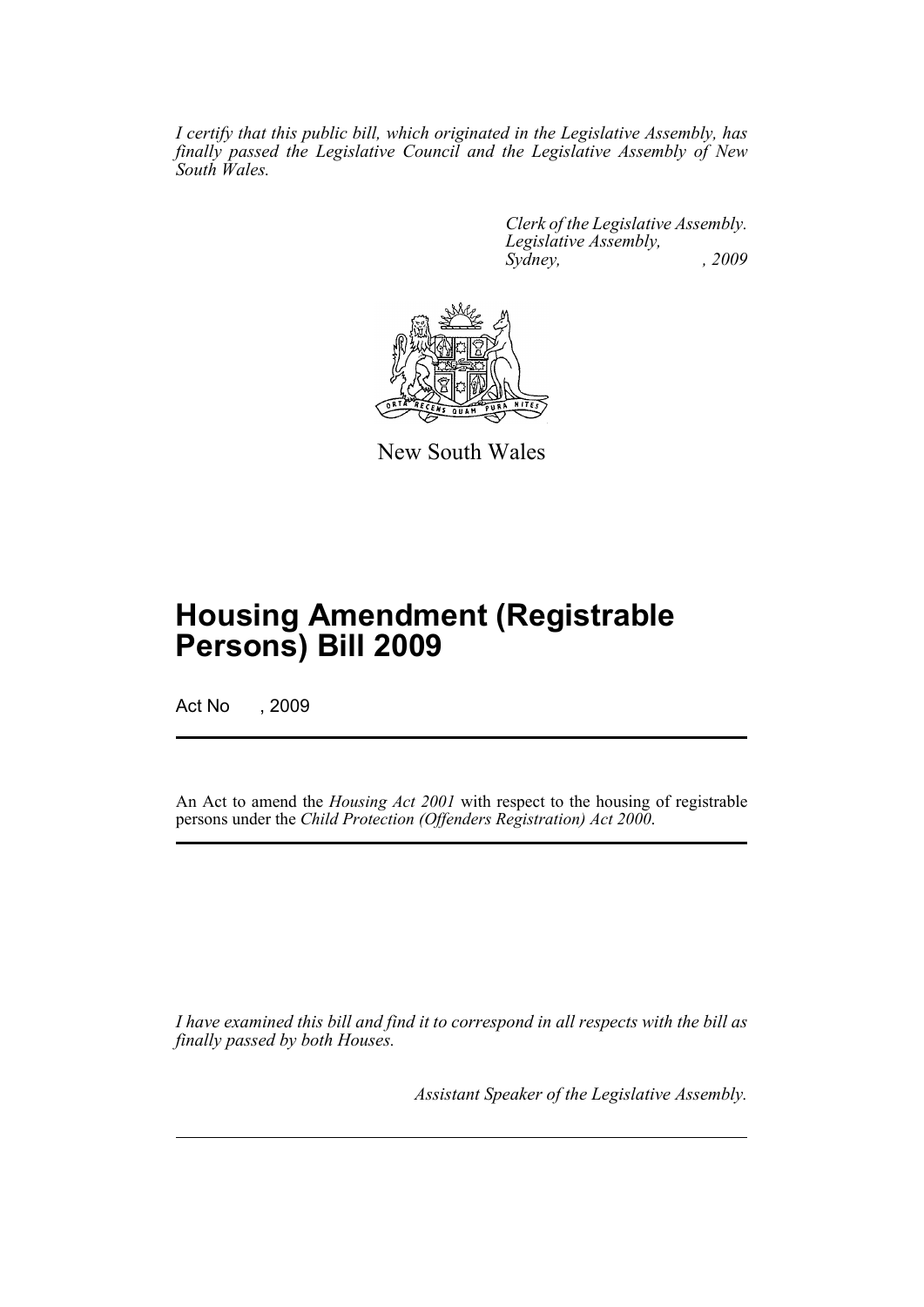*I certify that this public bill, which originated in the Legislative Assembly, has finally passed the Legislative Council and the Legislative Assembly of New South Wales.*

> *Clerk of the Legislative Assembly. Legislative Assembly, Sydney, , 2009*



New South Wales

# **Housing Amendment (Registrable Persons) Bill 2009**

Act No , 2009

An Act to amend the *Housing Act 2001* with respect to the housing of registrable persons under the *Child Protection (Offenders Registration) Act 2000*.

*I have examined this bill and find it to correspond in all respects with the bill as finally passed by both Houses.*

*Assistant Speaker of the Legislative Assembly.*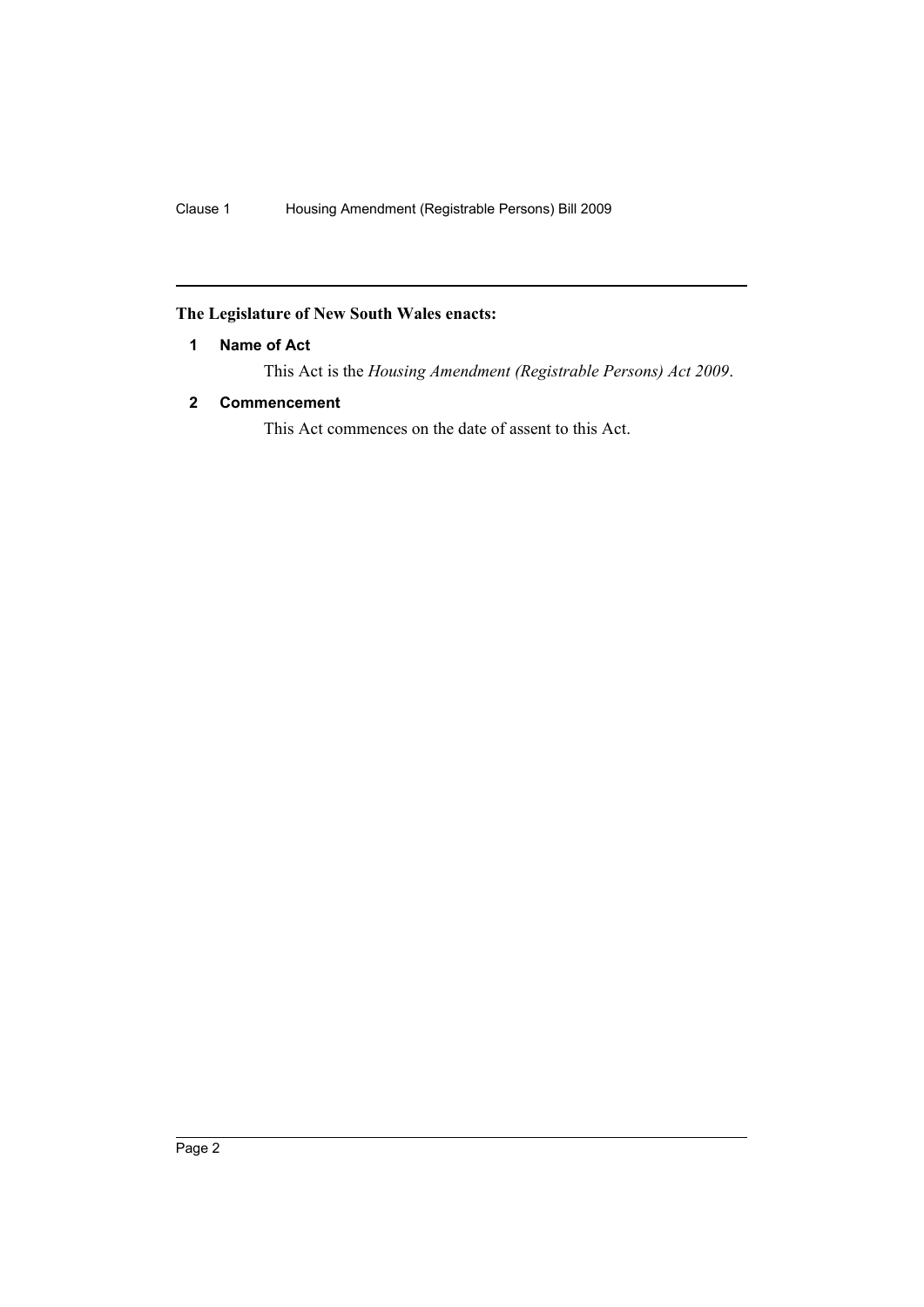### <span id="page-2-0"></span>**The Legislature of New South Wales enacts:**

### **1 Name of Act**

This Act is the *Housing Amendment (Registrable Persons) Act 2009*.

### <span id="page-2-1"></span>**2 Commencement**

This Act commences on the date of assent to this Act.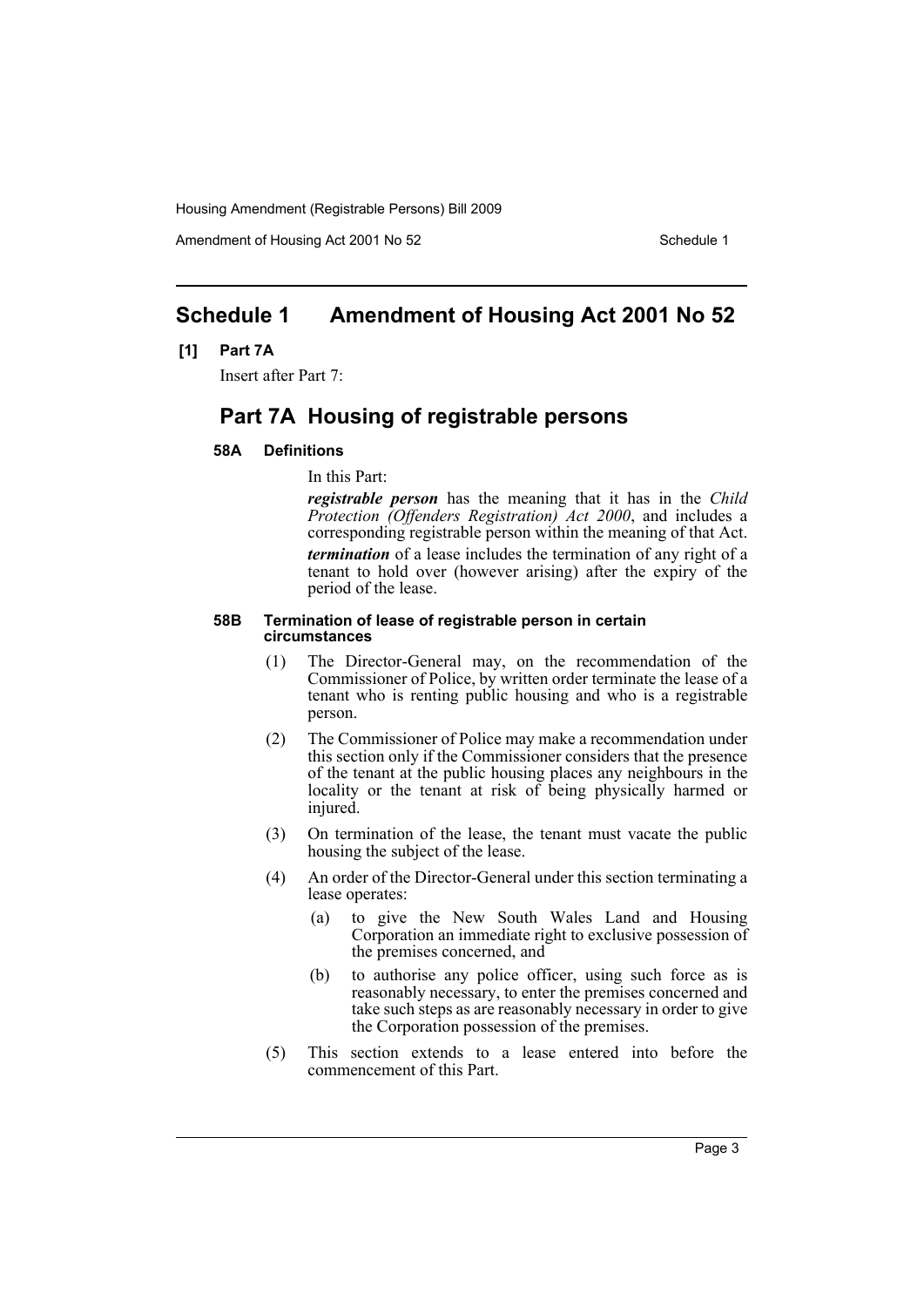Housing Amendment (Registrable Persons) Bill 2009

Amendment of Housing Act 2001 No 52 Schedule 1

## <span id="page-3-0"></span>**Schedule 1 Amendment of Housing Act 2001 No 52**

### **[1] Part 7A**

Insert after Part 7:

## **Part 7A Housing of registrable persons**

### **58A Definitions**

In this Part:

*registrable person* has the meaning that it has in the *Child Protection (Offenders Registration) Act 2000*, and includes a corresponding registrable person within the meaning of that Act. *termination* of a lease includes the termination of any right of a tenant to hold over (however arising) after the expiry of the period of the lease.

### **58B Termination of lease of registrable person in certain circumstances**

- (1) The Director-General may, on the recommendation of the Commissioner of Police, by written order terminate the lease of a tenant who is renting public housing and who is a registrable person.
- (2) The Commissioner of Police may make a recommendation under this section only if the Commissioner considers that the presence of the tenant at the public housing places any neighbours in the locality or the tenant at risk of being physically harmed or injured.
- (3) On termination of the lease, the tenant must vacate the public housing the subject of the lease.
- (4) An order of the Director-General under this section terminating a lease operates:
	- (a) to give the New South Wales Land and Housing Corporation an immediate right to exclusive possession of the premises concerned, and
	- (b) to authorise any police officer, using such force as is reasonably necessary, to enter the premises concerned and take such steps as are reasonably necessary in order to give the Corporation possession of the premises.
- (5) This section extends to a lease entered into before the commencement of this Part.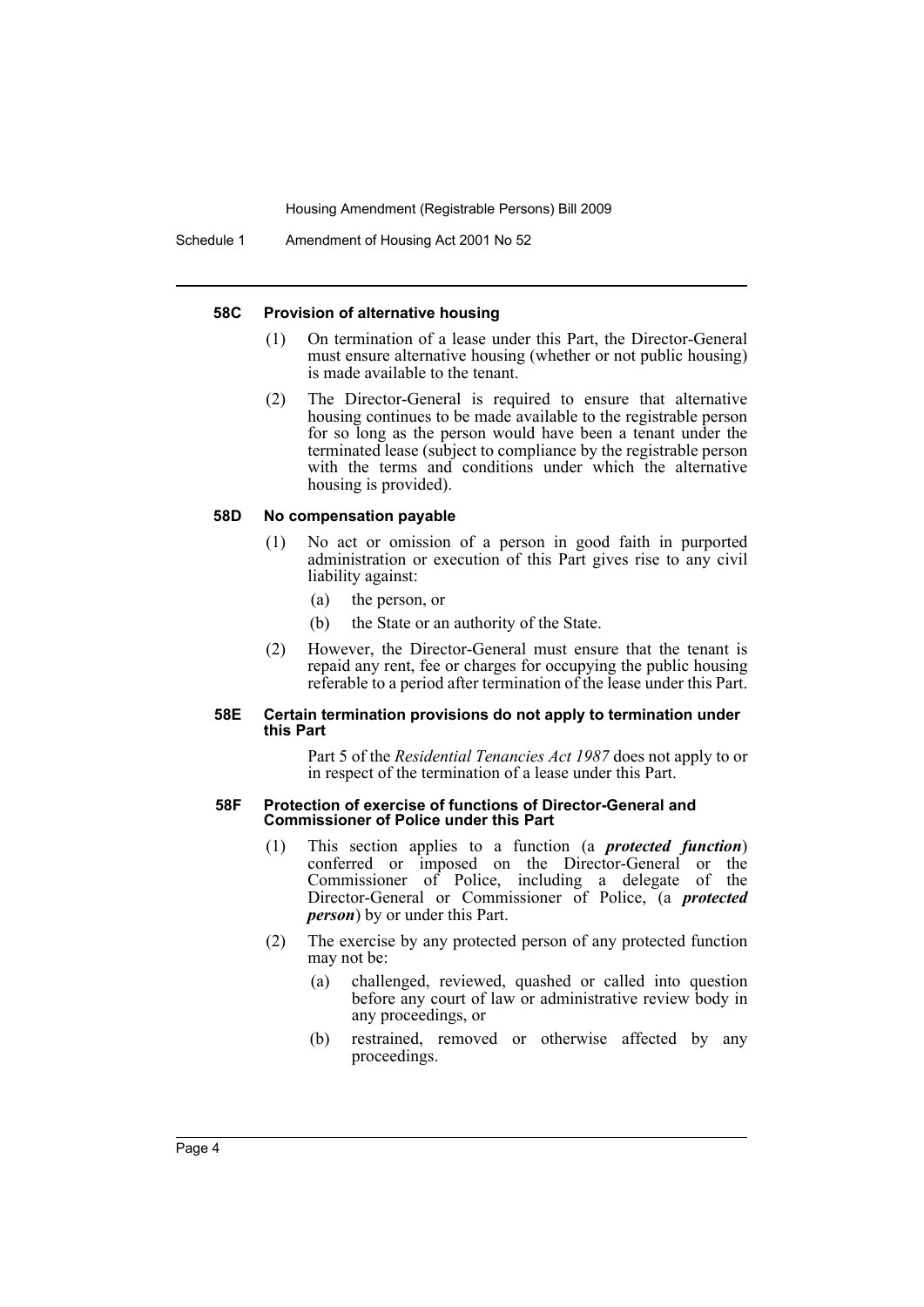Housing Amendment (Registrable Persons) Bill 2009

#### **58C Provision of alternative housing**

- (1) On termination of a lease under this Part, the Director-General must ensure alternative housing (whether or not public housing) is made available to the tenant.
- (2) The Director-General is required to ensure that alternative housing continues to be made available to the registrable person for so long as the person would have been a tenant under the terminated lease (subject to compliance by the registrable person with the terms and conditions under which the alternative housing is provided).

### **58D No compensation payable**

- (1) No act or omission of a person in good faith in purported administration or execution of this Part gives rise to any civil liability against:
	- (a) the person, or
	- (b) the State or an authority of the State.
- (2) However, the Director-General must ensure that the tenant is repaid any rent, fee or charges for occupying the public housing referable to a period after termination of the lease under this Part.

### **58E Certain termination provisions do not apply to termination under this Part**

Part 5 of the *Residential Tenancies Act 1987* does not apply to or in respect of the termination of a lease under this Part.

### **58F Protection of exercise of functions of Director-General and Commissioner of Police under this Part**

- (1) This section applies to a function (a *protected function*) conferred or imposed on the Director-General or the Commissioner of Police, including a delegate of the Director-General or Commissioner of Police, (a *protected person*) by or under this Part.
- (2) The exercise by any protected person of any protected function may not be:
	- (a) challenged, reviewed, quashed or called into question before any court of law or administrative review body in any proceedings, or
	- (b) restrained, removed or otherwise affected by any proceedings.